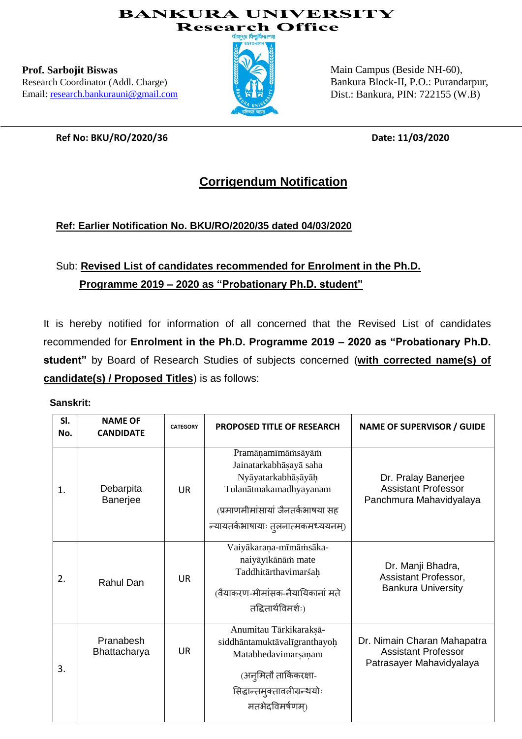### **BANKURA UNIVERSITY Research Office**

**Prof. Sarbojit Biswas** Research Coordinator (Addl. Charge) Email: [research.bankurauni@gmail.com](mailto:research.bankurauni@gmail.com)



Main Campus (Beside NH-60), Bankura Block-II, P.O.: Purandarpur, Dist.: Bankura, PIN: 722155 (W.B)

**Ref No: BKU/RO/2020/36 Date: 11/03/2020**

## **Corrigendum Notification**

## **Ref: Earlier Notification No. BKU/RO/2020/35 dated 04/03/2020**

# Sub: **Revised List of candidates recommended for Enrolment in the Ph.D. Programme 2019 – 2020 as "Probationary Ph.D. student"**

It is hereby notified for information of all concerned that the Revised List of candidates recommended for **Enrolment in the Ph.D. Programme 2019 – 2020 as "Probationary Ph.D. student"** by Board of Research Studies of subjects concerned (**with corrected name(s) of candidate(s) / Proposed Titles**) is as follows:

### **Sanskrit:**

| SI.<br>No. | <b>NAME OF</b><br><b>CANDIDATE</b> | <b>CATEGORY</b> | <b>PROPOSED TITLE OF RESEARCH</b>                                                                                                                                       | <b>NAME OF SUPERVISOR / GUIDE</b>                                                     |
|------------|------------------------------------|-----------------|-------------------------------------------------------------------------------------------------------------------------------------------------------------------------|---------------------------------------------------------------------------------------|
| 1.         | Debarpita<br>Banerjee              | <b>UR</b>       | Pramāņamīmāmsāyām<br>Jainatarkabhāsayā saha<br>Nyāyatarkabhāṣāyāḥ<br>Tulanātmakamadhyayanam<br>(प्रमाणमीमांसायां जैनतर्कभाषया सह<br>न्यायतर्कभाषायाः तुलनात्मकमध्ययनम्) | Dr. Pralay Banerjee<br><b>Assistant Professor</b><br>Panchmura Mahavidyalaya          |
| 2.         | Rahul Dan                          | <b>UR</b>       | Vaiyākaraņa-mīmāmsāka-<br>naiyāyīkānām mate<br>Taddhitārthavimarśah<br>(वैयाकरण-मीमांसक-नैयायिकानां मते<br>तद्धितार्थविमर्शः)                                           | Dr. Manji Bhadra,<br>Assistant Professor,<br><b>Bankura University</b>                |
| 3.         | Pranabesh<br>Bhattacharya          | <b>UR</b>       | Anumitau Tārkikaraksā-<br>siddhāntamuktāvalīgranthayoḥ<br>Matabhedavimarsanam<br>(अनुमितौ तार्किकरक्षा-<br>सिद्धान्तमुक्तावलीग्रन्थयोः<br>मतभेदविमर्षणम)                | Dr. Nimain Charan Mahapatra<br><b>Assistant Professor</b><br>Patrasayer Mahavidyalaya |